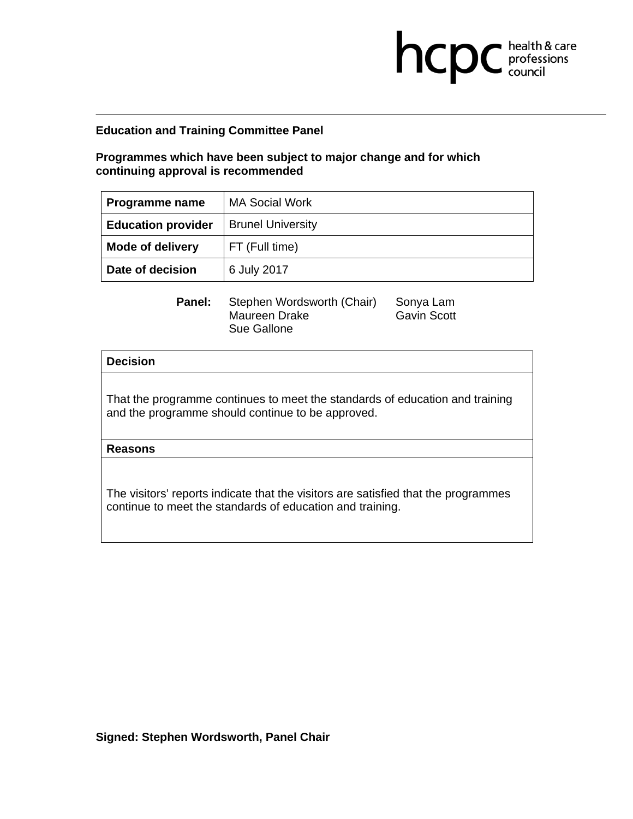**Programmes which have been subject to major change and for which continuing approval is recommended** 

| Programme name            | <b>MA Social Work</b>    |
|---------------------------|--------------------------|
| <b>Education provider</b> | <b>Brunel University</b> |
| <b>Mode of delivery</b>   | FT (Full time)           |
| Date of decision          | 6 July 2017              |

**health & care** 

**Panel:** Stephen Wordsworth (Chair) Sonya Lam Maureen Drake Gavin Scott Sue Gallone

### **Decision**

That the programme continues to meet the standards of education and training and the programme should continue to be approved.

**Reasons**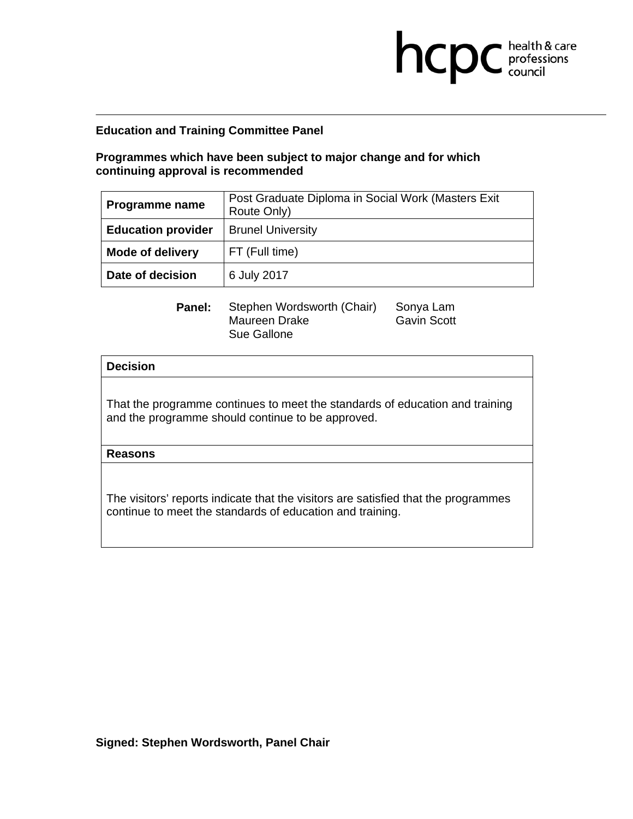# **Programmes which have been subject to major change and for which continuing approval is recommended**

| Programme name            | Post Graduate Diploma in Social Work (Masters Exit<br>Route Only) |  |
|---------------------------|-------------------------------------------------------------------|--|
| <b>Education provider</b> | <b>Brunel University</b>                                          |  |
| <b>Mode of delivery</b>   | FT (Full time)                                                    |  |
| Date of decision          | 6 July 2017                                                       |  |

| <b>Panel:</b> Stephen Wordsworth (Chair) | Sonya Lam          |
|------------------------------------------|--------------------|
| Maureen Drake                            | <b>Gavin Scott</b> |
| Sue Gallone                              |                    |

vin Scott

**health & care** 

#### **Decision**

That the programme continues to meet the standards of education and training and the programme should continue to be approved.

#### **Reasons**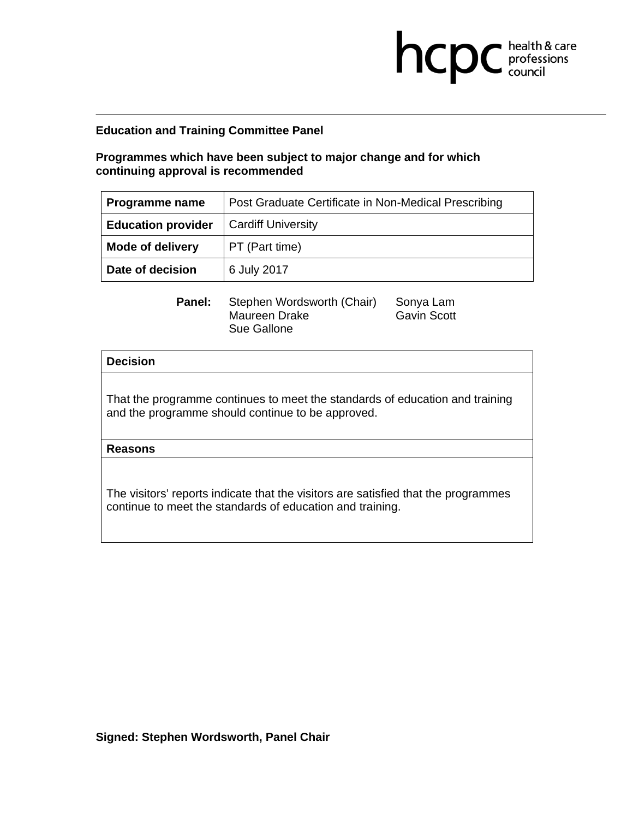# **Programmes which have been subject to major change and for which continuing approval is recommended**

| <b>Programme name</b>     | Post Graduate Certificate in Non-Medical Prescribing |  |
|---------------------------|------------------------------------------------------|--|
| <b>Education provider</b> | <b>Cardiff University</b>                            |  |
| <b>Mode of delivery</b>   | PT (Part time)                                       |  |
| Date of decision          | 6 July 2017                                          |  |

**health & care** 

**Panel:** Stephen Wordsworth (Chair) Sonya Lam Maureen Drake Gavin Scott Sue Gallone

### **Decision**

That the programme continues to meet the standards of education and training and the programme should continue to be approved.

**Reasons**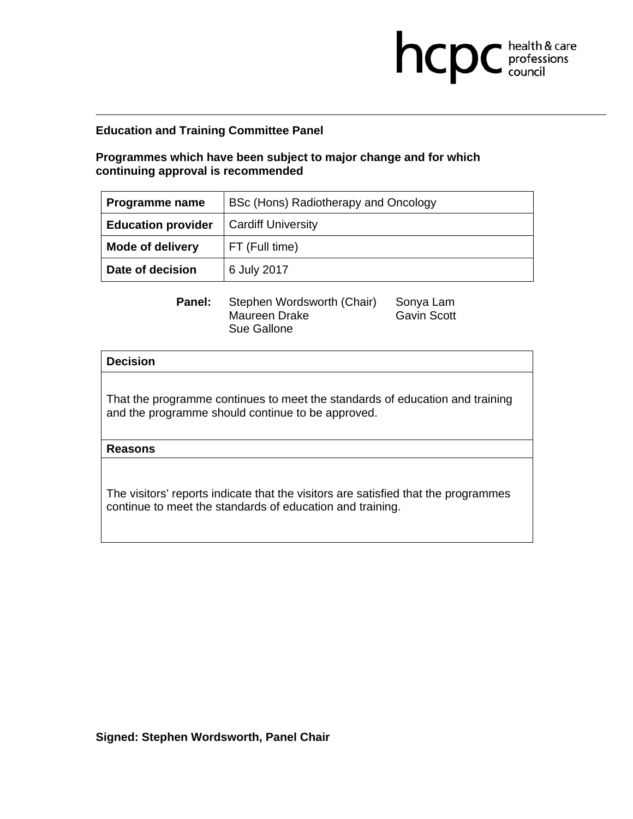**Programmes which have been subject to major change and for which continuing approval is recommended** 

| Programme name            | BSc (Hons) Radiotherapy and Oncology |
|---------------------------|--------------------------------------|
| <b>Education provider</b> | <b>Cardiff University</b>            |
| <b>Mode of delivery</b>   | FT (Full time)                       |
| Date of decision          | 6 July 2017                          |

**Panel:** Stephen Wordsworth (Chair) Sonya Lam Maureen Drake Gavin Scott Sue Gallone

**health & care** 

#### **Decision**

That the programme continues to meet the standards of education and training and the programme should continue to be approved.

**Reasons**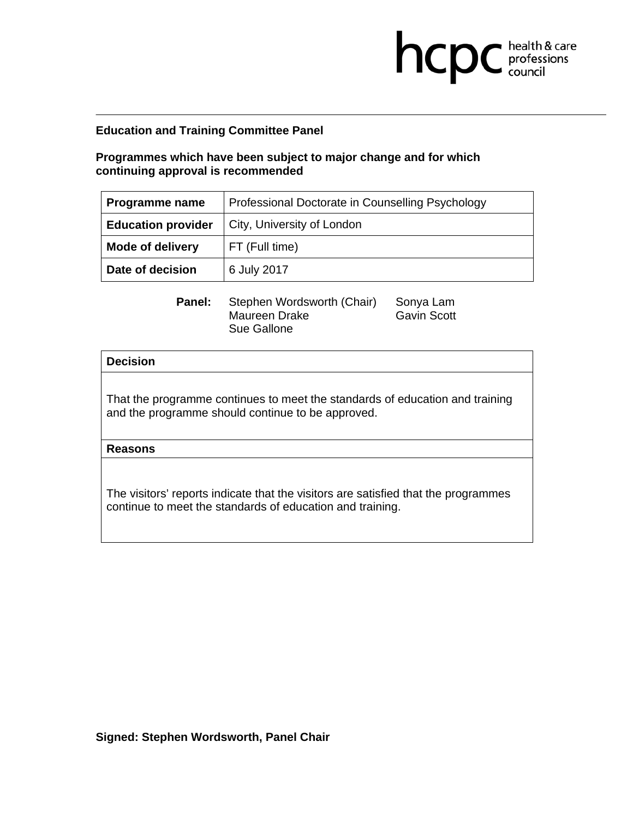# **Programmes which have been subject to major change and for which continuing approval is recommended**

| Programme name            | Professional Doctorate in Counselling Psychology |  |
|---------------------------|--------------------------------------------------|--|
| <b>Education provider</b> | City, University of London                       |  |
| <b>Mode of delivery</b>   | FT (Full time)                                   |  |
| Date of decision          | 6 July 2017                                      |  |

**Panel:** Stephen Wordsworth (Chair) Sonya Lam Maureen Drake Gavin Scott Sue Gallone

**health & care** 

### **Decision**

That the programme continues to meet the standards of education and training and the programme should continue to be approved.

**Reasons**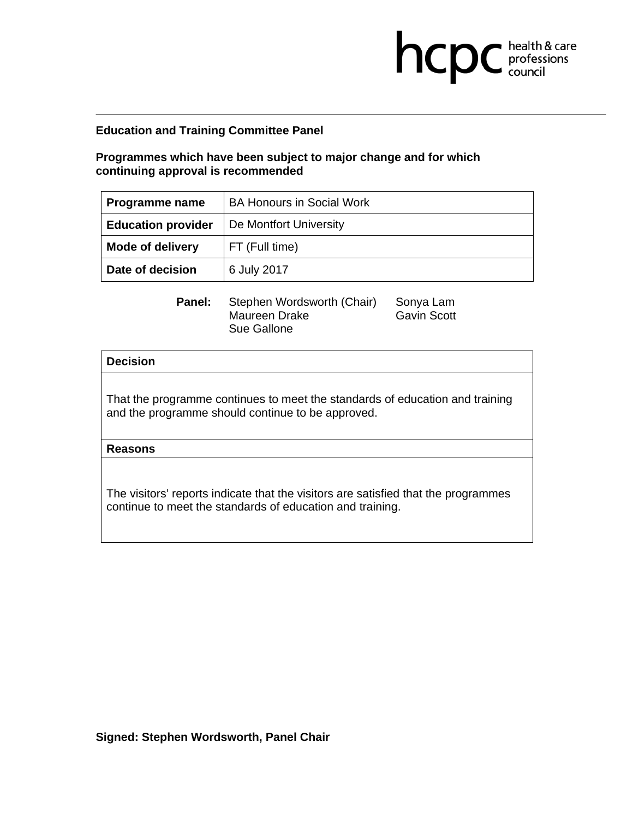**Programmes which have been subject to major change and for which continuing approval is recommended** 

| Programme name            | <b>BA Honours in Social Work</b> |
|---------------------------|----------------------------------|
| <b>Education provider</b> | De Montfort University           |
| <b>Mode of delivery</b>   | FT (Full time)                   |
| Date of decision          | 6 July 2017                      |

**health & care** 

**Panel:** Stephen Wordsworth (Chair) Sonya Lam Maureen Drake Gavin Scott Sue Gallone

### **Decision**

That the programme continues to meet the standards of education and training and the programme should continue to be approved.

**Reasons**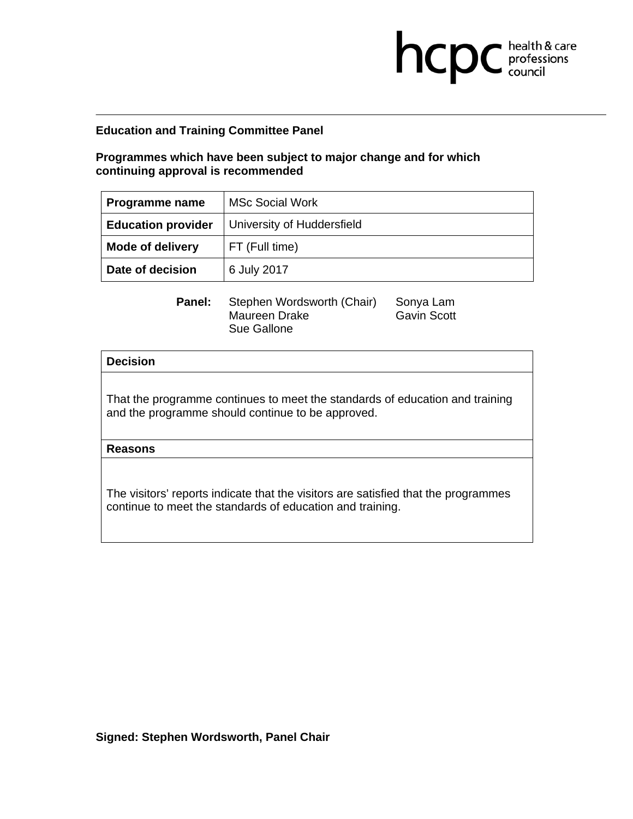**Programmes which have been subject to major change and for which continuing approval is recommended** 

| Programme name            | <b>MSc Social Work</b>     |
|---------------------------|----------------------------|
| <b>Education provider</b> | University of Huddersfield |
| <b>Mode of delivery</b>   | FT (Full time)             |
| Date of decision          | 6 July 2017                |

**health & care** 

**Panel:** Stephen Wordsworth (Chair) Sonya Lam Maureen Drake Gavin Scott Sue Gallone

### **Decision**

That the programme continues to meet the standards of education and training and the programme should continue to be approved.

**Reasons**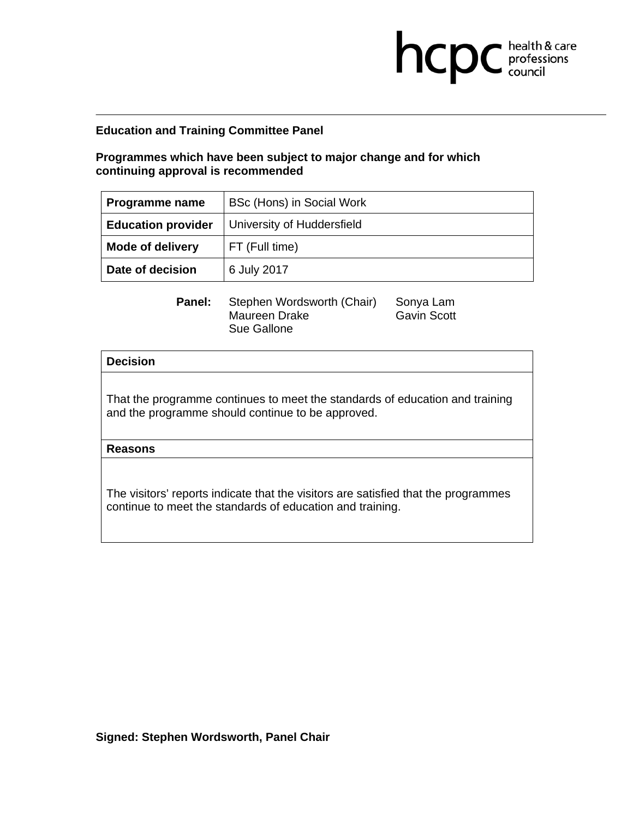**Programmes which have been subject to major change and for which continuing approval is recommended** 

| Programme name            | BSc (Hons) in Social Work  |
|---------------------------|----------------------------|
| <b>Education provider</b> | University of Huddersfield |
| <b>Mode of delivery</b>   | FT (Full time)             |
| Date of decision          | 6 July 2017                |

**health & care** 

**Panel:** Stephen Wordsworth (Chair) Sonya Lam Maureen Drake Gavin Scott Sue Gallone

### **Decision**

That the programme continues to meet the standards of education and training and the programme should continue to be approved.

**Reasons**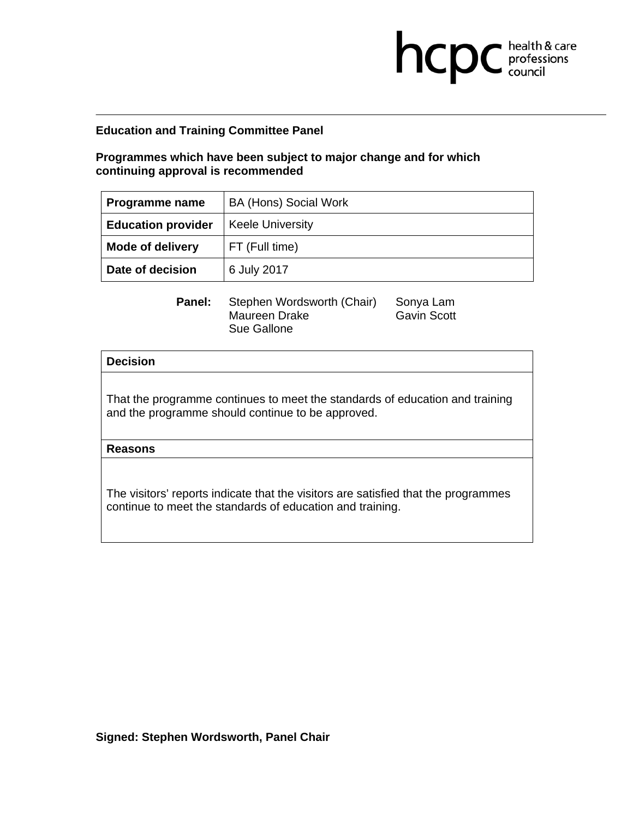**Programmes which have been subject to major change and for which continuing approval is recommended** 

| Programme name            | <b>BA (Hons) Social Work</b> |
|---------------------------|------------------------------|
| <b>Education provider</b> | <b>Keele University</b>      |
| <b>Mode of delivery</b>   | FT (Full time)               |
| Date of decision          | 6 July 2017                  |

**health & care** 

**Panel:** Stephen Wordsworth (Chair) Sonya Lam Maureen Drake Gavin Scott Sue Gallone

### **Decision**

That the programme continues to meet the standards of education and training and the programme should continue to be approved.

**Reasons**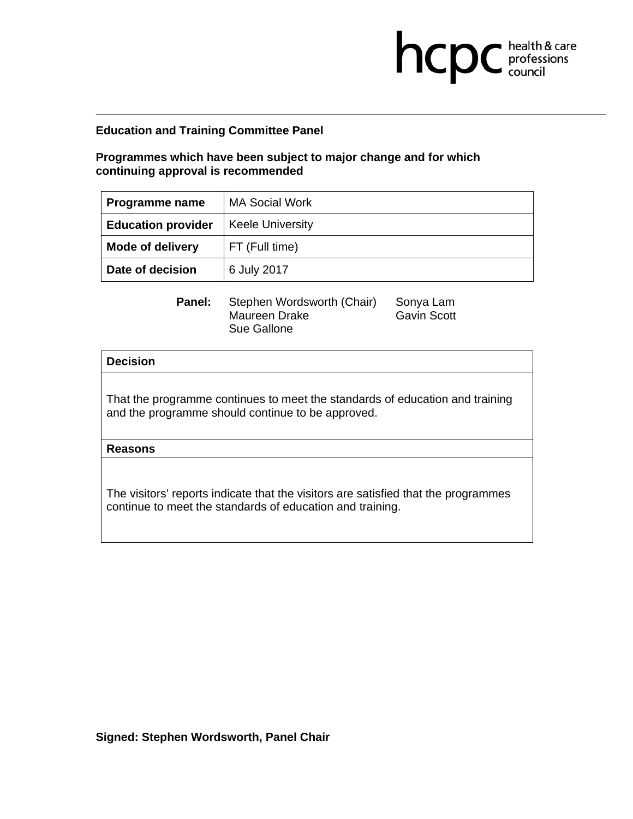**Programmes which have been subject to major change and for which continuing approval is recommended** 

| Programme name            | <b>MA Social Work</b>   |
|---------------------------|-------------------------|
| <b>Education provider</b> | <b>Keele University</b> |
| <b>Mode of delivery</b>   | FT (Full time)          |
| Date of decision          | 6 July 2017             |

**health & care** 

**Panel:** Stephen Wordsworth (Chair) Sonya Lam Maureen Drake Gavin Scott Sue Gallone

### **Decision**

That the programme continues to meet the standards of education and training and the programme should continue to be approved.

**Reasons**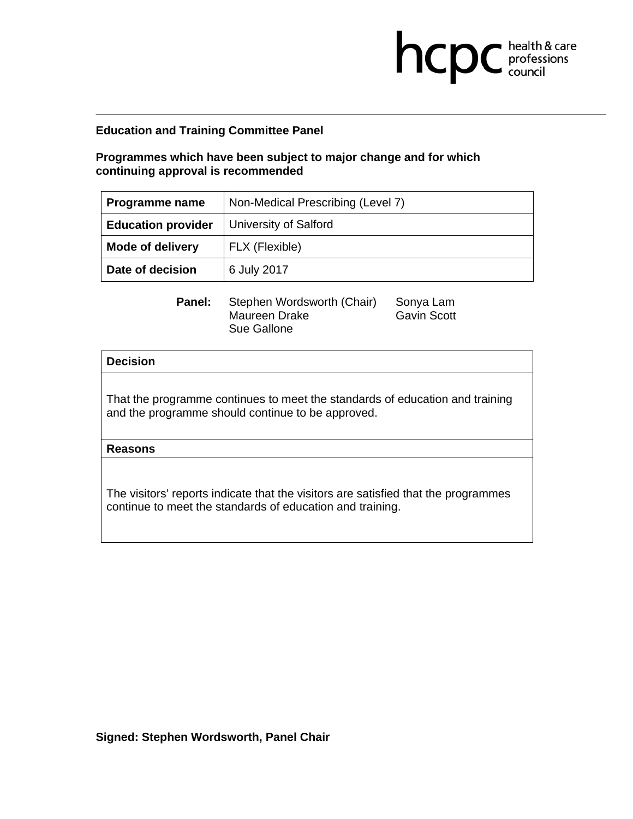**Programmes which have been subject to major change and for which continuing approval is recommended** 

| <b>Programme name</b>     | Non-Medical Prescribing (Level 7) |
|---------------------------|-----------------------------------|
| <b>Education provider</b> | <b>University of Salford</b>      |
| <b>Mode of delivery</b>   | FLX (Flexible)                    |
| Date of decision          | 6 July 2017                       |

**health & care** 

**Panel:** Stephen Wordsworth (Chair) Sonya Lam Maureen Drake Gavin Scott Sue Gallone

#### **Decision**

That the programme continues to meet the standards of education and training and the programme should continue to be approved.

**Reasons**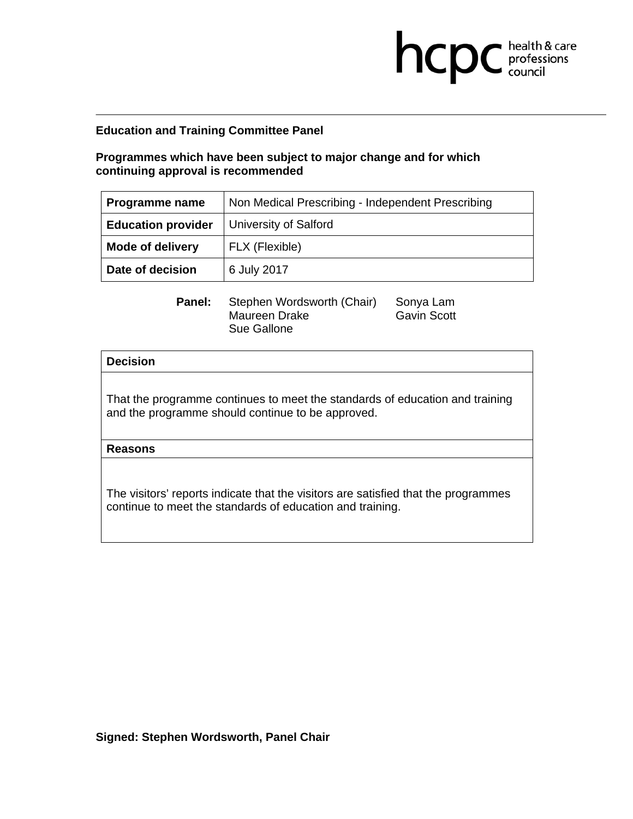# **Programmes which have been subject to major change and for which continuing approval is recommended**

| Programme name            | Non Medical Prescribing - Independent Prescribing |
|---------------------------|---------------------------------------------------|
| <b>Education provider</b> | <b>University of Salford</b>                      |
| <b>Mode of delivery</b>   | FLX (Flexible)                                    |
| Date of decision          | 6 July 2017                                       |

**health & care** 

**Panel:** Stephen Wordsworth (Chair) Sonya Lam Maureen Drake Gavin Scott Sue Gallone

### **Decision**

That the programme continues to meet the standards of education and training and the programme should continue to be approved.

**Reasons**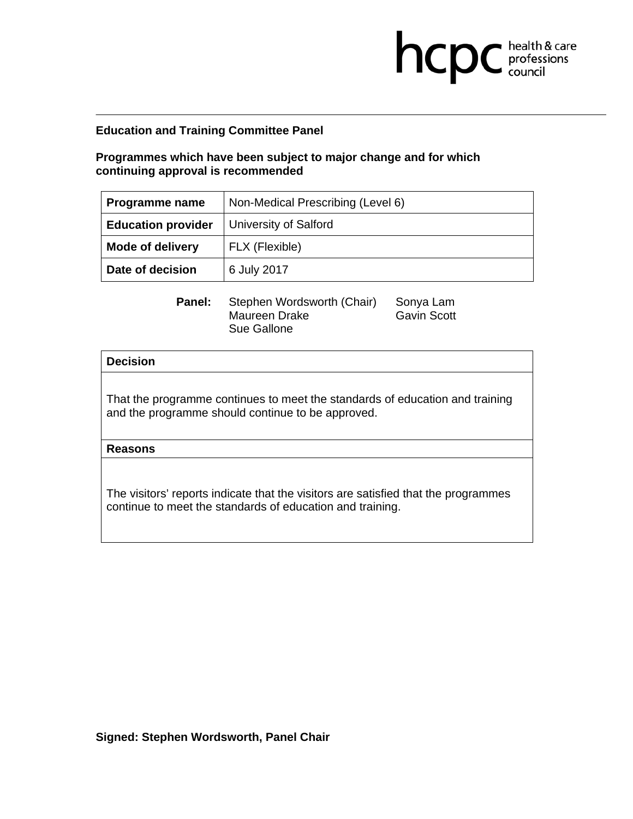**Programmes which have been subject to major change and for which continuing approval is recommended** 

| <b>Programme name</b>     | Non-Medical Prescribing (Level 6) |
|---------------------------|-----------------------------------|
| <b>Education provider</b> | <b>University of Salford</b>      |
| <b>Mode of delivery</b>   | FLX (Flexible)                    |
| Date of decision          | 6 July 2017                       |

**health & care** 

**Panel:** Stephen Wordsworth (Chair) Sonya Lam Maureen Drake Gavin Scott Sue Gallone

#### **Decision**

That the programme continues to meet the standards of education and training and the programme should continue to be approved.

**Reasons**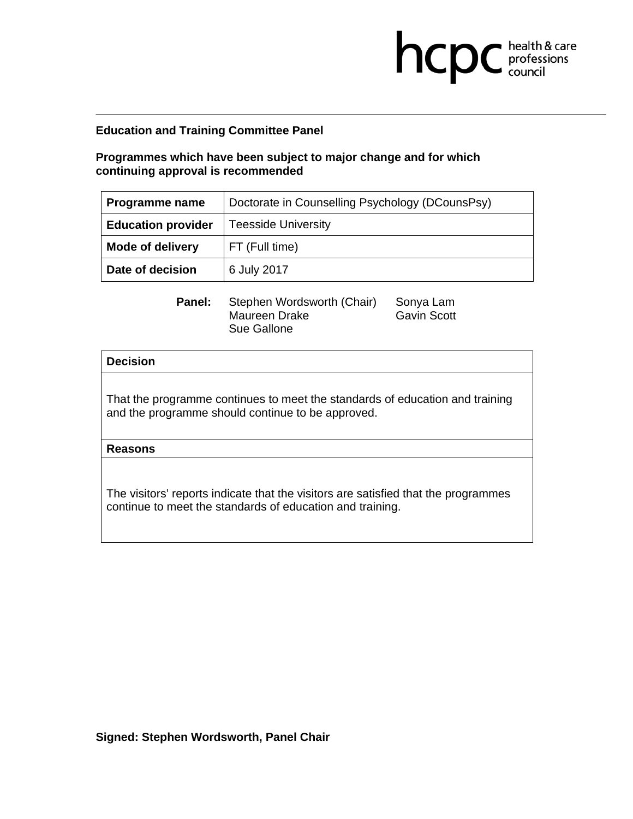# **Programmes which have been subject to major change and for which continuing approval is recommended**

| <b>Programme name</b>     | Doctorate in Counselling Psychology (DCounsPsy) |
|---------------------------|-------------------------------------------------|
| <b>Education provider</b> | <b>Teesside University</b>                      |
| <b>Mode of delivery</b>   | FT (Full time)                                  |
| Date of decision          | 6 July 2017                                     |

**health & care** 

**Panel:** Stephen Wordsworth (Chair) Sonya Lam Maureen Drake Gavin Scott Sue Gallone

### **Decision**

That the programme continues to meet the standards of education and training and the programme should continue to be approved.

**Reasons**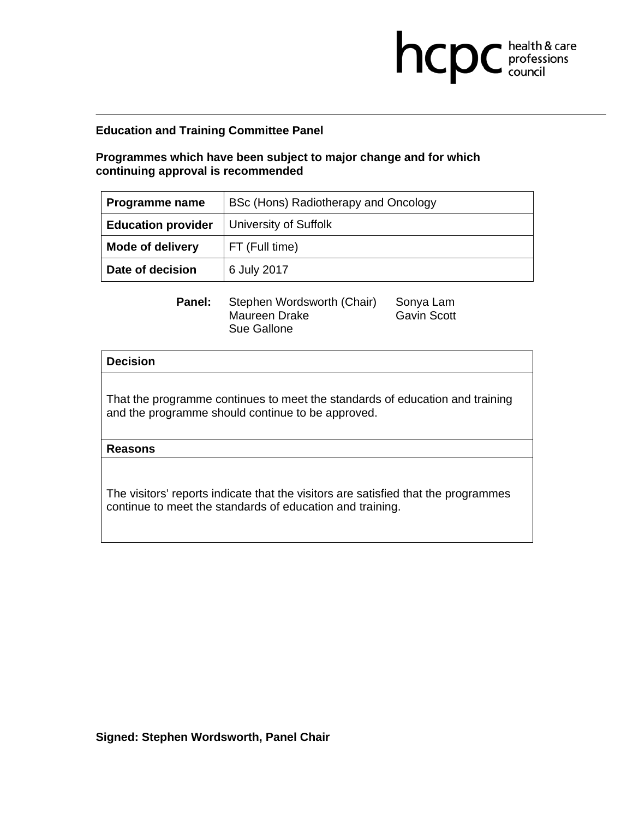# **Programmes which have been subject to major change and for which continuing approval is recommended**

| <b>Programme name</b>     | BSc (Hons) Radiotherapy and Oncology |
|---------------------------|--------------------------------------|
| <b>Education provider</b> | University of Suffolk                |
| <b>Mode of delivery</b>   | FT (Full time)                       |
| Date of decision          | 6 July 2017                          |

**health & care** 

**Panel:** Stephen Wordsworth (Chair) Sonya Lam Maureen Drake Gavin Scott Sue Gallone

### **Decision**

That the programme continues to meet the standards of education and training and the programme should continue to be approved.

**Reasons**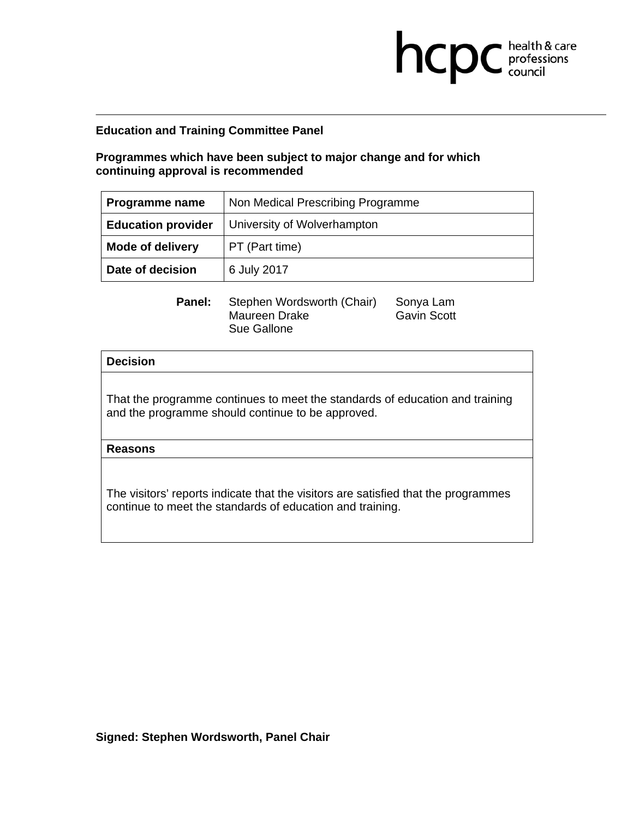**Programmes which have been subject to major change and for which continuing approval is recommended** 

| Programme name            | Non Medical Prescribing Programme |
|---------------------------|-----------------------------------|
| <b>Education provider</b> | University of Wolverhampton       |
| <b>Mode of delivery</b>   | PT (Part time)                    |
| Date of decision          | 6 July 2017                       |

**health & care** 

**Panel:** Stephen Wordsworth (Chair) Sonya Lam Maureen Drake Gavin Scott Sue Gallone

### **Decision**

That the programme continues to meet the standards of education and training and the programme should continue to be approved.

**Reasons**